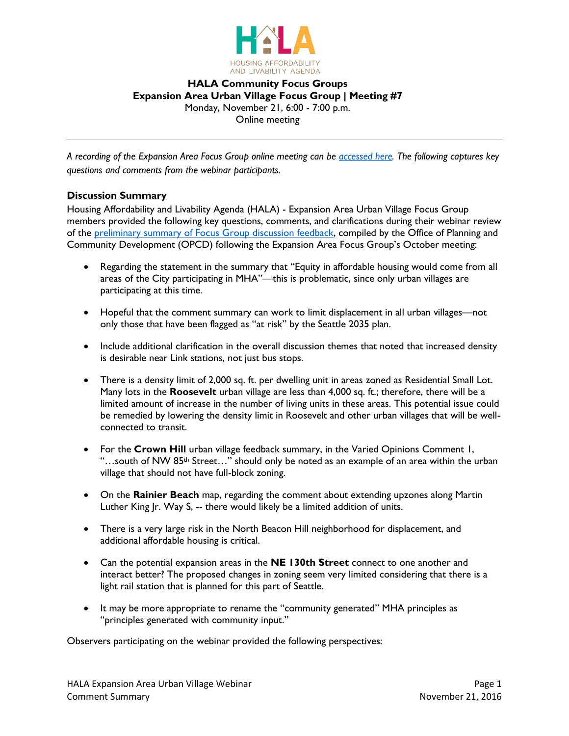

## **HALA Community Focus Groups Expansion Area Urban Village Focus Group | Meeting #7** Monday, November 21, 6:00 - 7:00 p.m. Online meeting

*A recording of the Expansion Area Focus Group online meeting can be [accessed](https://www.youtube.com/watch?v=rUN1adqlzJ4) here. The following captures key questions and comments from the webinar participants.*

## **Discussion Summary**

Housing Affordability and Livability Agenda (HALA) - Expansion Area Urban Village Focus Group members provided the following key questions, comments, and clarifications during their webinar review of the [preliminary summary of Focus Group discussion feedback,](http://www.seattle.gov/Documents/Departments/HALA/FocusGroups/November/Focus%20Group%20MHA%20Summary%20Report_v5_Expansion.pdf) compiled by the Office of Planning and Community Development (OPCD) following the Expansion Area Focus Group's October meeting:

- Regarding the statement in the summary that "Equity in affordable housing would come from all areas of the City participating in MHA"—this is problematic, since only urban villages are participating at this time.
- Hopeful that the comment summary can work to limit displacement in all urban villages—not only those that have been flagged as "at risk" by the Seattle 2035 plan.
- Include additional clarification in the overall discussion themes that noted that increased density is desirable near Link stations, not just bus stops.
- There is a density limit of 2,000 sq. ft. per dwelling unit in areas zoned as Residential Small Lot. Many lots in the **Roosevelt** urban village are less than 4,000 sq. ft.; therefore, there will be a limited amount of increase in the number of living units in these areas. This potential issue could be remedied by lowering the density limit in Roosevelt and other urban villages that will be wellconnected to transit.
- For the **Crown Hill** urban village feedback summary, in the Varied Opinions Comment 1, "...south of NW 85<sup>th</sup> Street..." should only be noted as an example of an area within the urban village that should not have full-block zoning.
- On the **Rainier Beach** map, regarding the comment about extending upzones along Martin Luther King Jr. Way S, -- there would likely be a limited addition of units.
- There is a very large risk in the North Beacon Hill neighborhood for displacement, and additional affordable housing is critical.
- Can the potential expansion areas in the **NE 130th Street** connect to one another and interact better? The proposed changes in zoning seem very limited considering that there is a light rail station that is planned for this part of Seattle.
- It may be more appropriate to rename the "community generated" MHA principles as "principles generated with community input."

Observers participating on the webinar provided the following perspectives: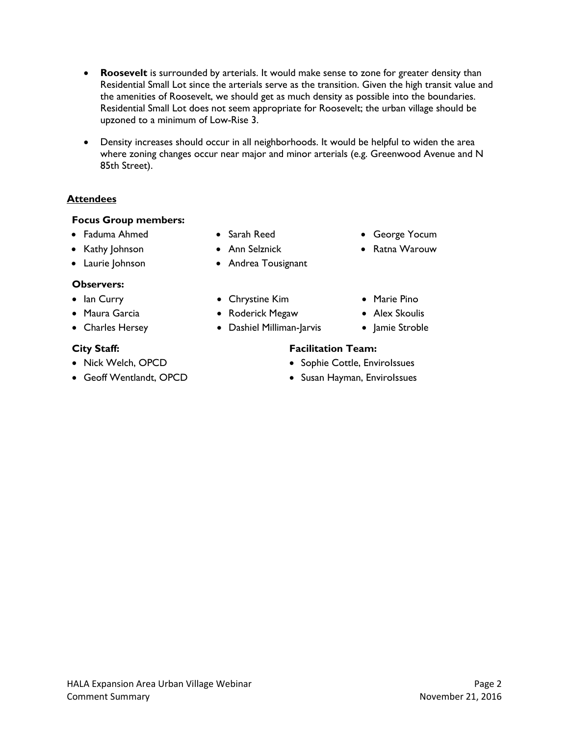- **Roosevelt** is surrounded by arterials. It would make sense to zone for greater density than Residential Small Lot since the arterials serve as the transition. Given the high transit value and the amenities of Roosevelt, we should get as much density as possible into the boundaries. Residential Small Lot does not seem appropriate for Roosevelt; the urban village should be upzoned to a minimum of Low-Rise 3.
- Density increases should occur in all neighborhoods. It would be helpful to widen the area where zoning changes occur near major and minor arterials (e.g. Greenwood Avenue and N 85th Street).

# **Attendees**

# **Focus Group members:**

- Faduma Ahmed Sarah Reed George Yocum
- 
- 

# **Observers:**

- 
- 
- 

- 
- 
- 
- 
- Laurie Johnson Andrea Tousignant
	-
- Maura Garcia Roderick Megaw Alex Skoulis
- Charles Hersey Dashiel Milliman-Jarvis |amie Stroble
- 
- Kathy Johnson Ann Selznick Ratna Warouw
	-
	-
	-

- Nick Welch, OPCD **Sophie Cottle, EnviroIssues Sophie Cottle, EnviroIssues** 
	-
- 
- 
- 
- Geoff Wentlandt, OPCD Susan Hayman, EnviroIssues
- Ian Curry Chrystine Kim Marie Pino
	-
- **City Staff: Facilitation Team:**